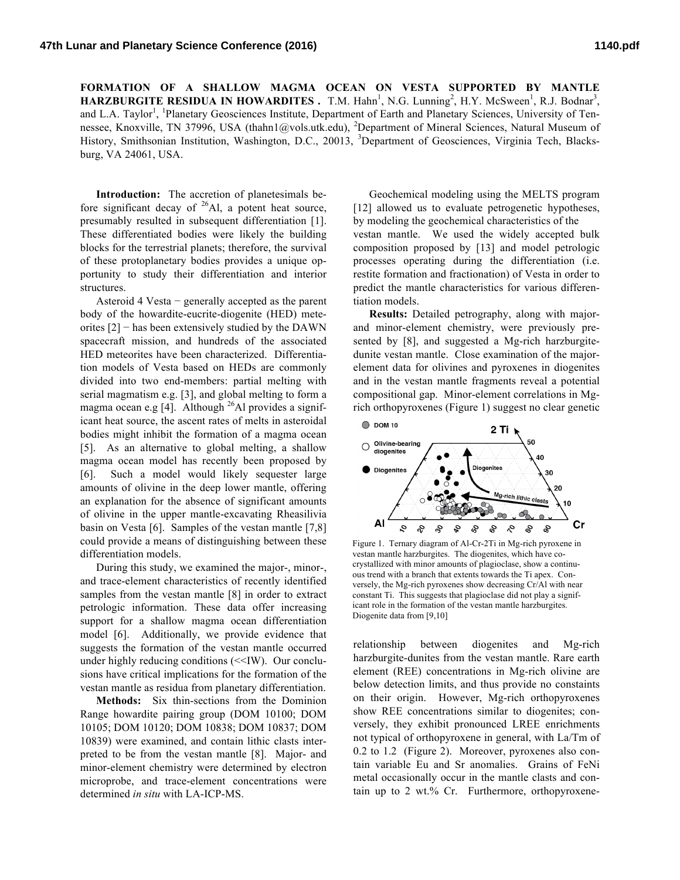**FORMATION OF A SHALLOW MAGMA OCEAN ON VESTA SUPPORTED BY MANTLE HARZBURGITE RESIDUA IN HOWARDITES.** T.M. Hahn<sup>1</sup>, N.G. Lunning<sup>2</sup>, H.Y. McSween<sup>1</sup>, R.J. Bodnar<sup>3</sup>, and L.A. Taylor<sup>1</sup>, <sup>1</sup>Planetary Geosciences Institute, Department of Earth and Planetary Sciences, University of Tennessee, Knoxville, TN 37996, USA (thahn1@vols.utk.edu), <sup>2</sup>Department of Mineral Sciences, Natural Museum of History, Smithsonian Institution, Washington, D.C., 20013, <sup>3</sup>Department of Geosciences, Virginia Tech, Blacksburg, VA 24061, USA.

**Introduction:** The accretion of planetesimals before significant decay of  $^{26}$ Al, a potent heat source, presumably resulted in subsequent differentiation [1]. These differentiated bodies were likely the building blocks for the terrestrial planets; therefore, the survival of these protoplanetary bodies provides a unique opportunity to study their differentiation and interior structures.

Asteroid 4 Vesta − generally accepted as the parent body of the howardite-eucrite-diogenite (HED) meteorites  $[2]$  – has been extensively studied by the DAWN spacecraft mission, and hundreds of the associated HED meteorites have been characterized. Differentiation models of Vesta based on HEDs are commonly divided into two end-members: partial melting with serial magmatism e.g. [3], and global melting to form a magma ocean e.g [4]. Although  $^{26}$ Al provides a significant heat source, the ascent rates of melts in asteroidal bodies might inhibit the formation of a magma ocean [5]. As an alternative to global melting, a shallow magma ocean model has recently been proposed by [6]. Such a model would likely sequester large amounts of olivine in the deep lower mantle, offering an explanation for the absence of significant amounts of olivine in the upper mantle-excavating Rheasilivia basin on Vesta [6]. Samples of the vestan mantle [7,8] could provide a means of distinguishing between these differentiation models.

During this study, we examined the major-, minor-, and trace-element characteristics of recently identified samples from the vestan mantle [8] in order to extract petrologic information. These data offer increasing support for a shallow magma ocean differentiation model [6]. Additionally, we provide evidence that suggests the formation of the vestan mantle occurred under highly reducing conditions  $\ll$ IW). Our conclusions have critical implications for the formation of the vestan mantle as residua from planetary differentiation.

**Methods:** Six thin-sections from the Dominion Range howardite pairing group (DOM 10100; DOM 10105; DOM 10120; DOM 10838; DOM 10837; DOM 10839) were examined, and contain lithic clasts interpreted to be from the vestan mantle [8]. Major- and minor-element chemistry were determined by electron microprobe, and trace-element concentrations were determined *in situ* with LA-ICP-MS.

Geochemical modeling using the MELTS program [12] allowed us to evaluate petrogenetic hypotheses, by modeling the geochemical characteristics of the vestan mantle. We used the widely accepted bulk composition proposed by [13] and model petrologic processes operating during the differentiation (i.e. restite formation and fractionation) of Vesta in order to predict the mantle characteristics for various differentiation models.

**Results:** Detailed petrography, along with majorand minor-element chemistry, were previously presented by [8], and suggested a Mg-rich harzburgitedunite vestan mantle. Close examination of the majorelement data for olivines and pyroxenes in diogenites and in the vestan mantle fragments reveal a potential compositional gap. Minor-element correlations in Mgrich orthopyroxenes (Figure 1) suggest no clear genetic



Figure 1. Ternary diagram of Al-Cr-2Ti in Mg-rich pyroxene in vestan mantle harzburgites. The diogenites, which have cocrystallized with minor amounts of plagioclase, show a continuous trend with a branch that extents towards the Ti apex. Conversely, the Mg-rich pyroxenes show decreasing Cr/Al with near constant Ti. This suggests that plagioclase did not play a significant role in the formation of the vestan mantle harzburgites. Diogenite data from [9,10]

relationship between diogenites and Mg-rich harzburgite-dunites from the vestan mantle. Rare earth element (REE) concentrations in Mg-rich olivine are below detection limits, and thus provide no constaints on their origin. However, Mg-rich orthopyroxenes show REE concentrations similar to diogenites; conversely, they exhibit pronounced LREE enrichments not typical of orthopyroxene in general, with La/Tm of 0.2 to 1.2 (Figure 2). Moreover, pyroxenes also contain variable Eu and Sr anomalies. Grains of FeNi metal occasionally occur in the mantle clasts and contain up to 2 wt.% Cr. Furthermore, orthopyroxene-